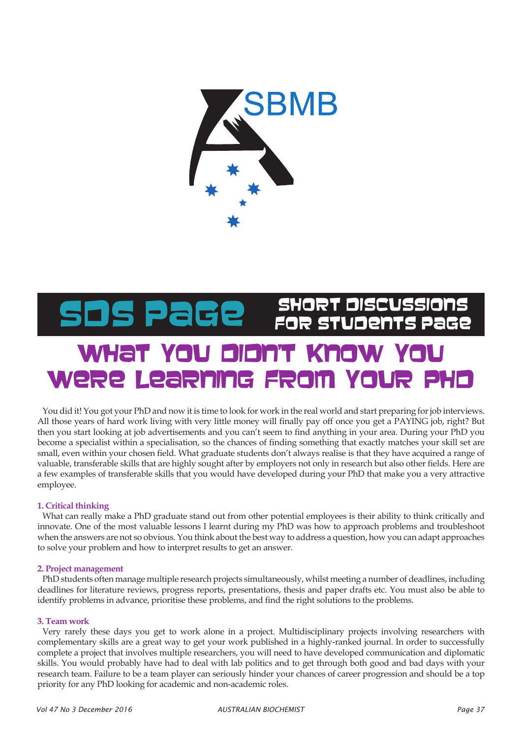

# What You didn't Ki were Learning From SDS Page SHORT DISCUSSIONS

You did it! You got your PhD and now it is time to look for work in the real world and start preparing for job interviews. All those years of hard work living with very little money will finally pay off once you get a PAYING job, right? But then you start looking at job advertisements and you can't seem to find anything in your area. During your PhD you become a specialist within a specialisation, so the chances of finding something that exactly matches your skill set are small, even within your chosen field. What graduate students don't always realise is that they have acquired a range of valuable, transferable skills that are highly sought after by employers not only in research but also other fields. Here are a few examples of transferable skills that you would have developed during your PhD that make you a very attractive employee.

# **1. Critical thinking**

What can really make a PhD graduate stand out from other potential employees is their ability to think critically and innovate. One of the most valuable lessons I learnt during my PhD was how to approach problems and troubleshoot when the answers are not so obvious. You think about the best way to address a question, how you can adapt approaches to solve your problem and how to interpret results to get an answer.

# **2. Project management**

PhD students often manage multiple research projects simultaneously, whilst meeting a number of deadlines, including deadlines for literature reviews, progress reports, presentations, thesis and paper drafts etc. You must also be able to identify problems in advance, prioritise these problems, and find the right solutions to the problems.

# **3. Team work**

Very rarely these days you get to work alone in a project. Multidisciplinary projects involving researchers with complementary skills are a great way to get your work published in a highly-ranked journal. In order to successfully complete a project that involves multiple researchers, you will need to have developed communication and diplomatic skills. You would probably have had to deal with lab politics and to get through both good and bad days with your research team. Failure to be a team player can seriously hinder your chances of career progression and should be a top priority for any PhD looking for academic and non-academic roles.